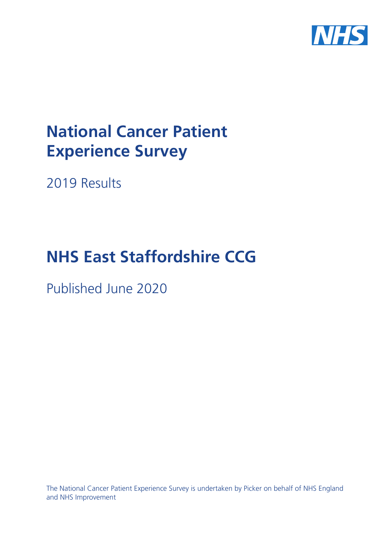

# **National Cancer Patient Experience Survey**

2019 Results

# **NHS East Staffordshire CCG**

Published June 2020

The National Cancer Patient Experience Survey is undertaken by Picker on behalf of NHS England and NHS Improvement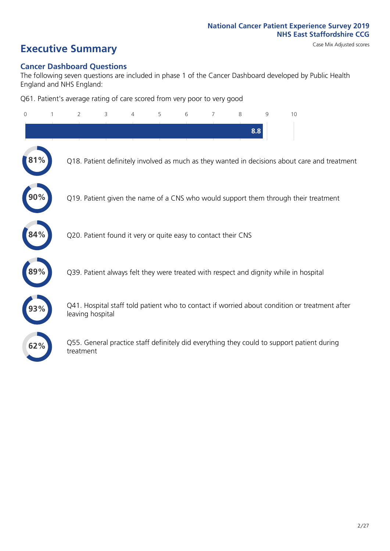# **Executive Summary** Case Mix Adjusted scores

### **Cancer Dashboard Questions**

The following seven questions are included in phase 1 of the Cancer Dashboard developed by Public Health England and NHS England:

Q61. Patient's average rating of care scored from very poor to very good

| $\Omega$ | $\overline{2}$                                                | 3 | 4 | 5 | 6 | 7 | 8 | 9   | 10                                                                                            |
|----------|---------------------------------------------------------------|---|---|---|---|---|---|-----|-----------------------------------------------------------------------------------------------|
|          |                                                               |   |   |   |   |   |   | 8.8 |                                                                                               |
|          |                                                               |   |   |   |   |   |   |     | Q18. Patient definitely involved as much as they wanted in decisions about care and treatment |
|          |                                                               |   |   |   |   |   |   |     | Q19. Patient given the name of a CNS who would support them through their treatment           |
| 84%      | Q20. Patient found it very or quite easy to contact their CNS |   |   |   |   |   |   |     |                                                                                               |
|          |                                                               |   |   |   |   |   |   |     | Q39. Patient always felt they were treated with respect and dignity while in hospital         |
|          | leaving hospital                                              |   |   |   |   |   |   |     | Q41. Hospital staff told patient who to contact if worried about condition or treatment after |
| 62%      | treatment                                                     |   |   |   |   |   |   |     | Q55. General practice staff definitely did everything they could to support patient during    |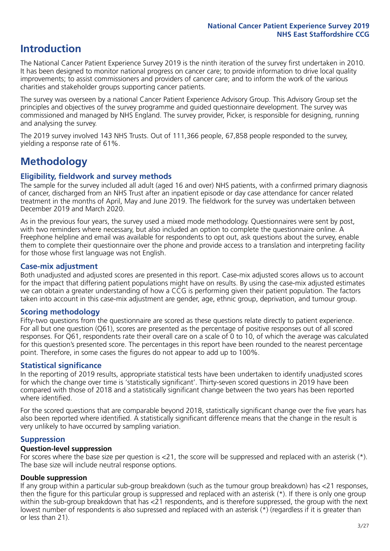## **Introduction**

The National Cancer Patient Experience Survey 2019 is the ninth iteration of the survey first undertaken in 2010. It has been designed to monitor national progress on cancer care; to provide information to drive local quality improvements; to assist commissioners and providers of cancer care; and to inform the work of the various charities and stakeholder groups supporting cancer patients.

The survey was overseen by a national Cancer Patient Experience Advisory Group. This Advisory Group set the principles and objectives of the survey programme and guided questionnaire development. The survey was commissioned and managed by NHS England. The survey provider, Picker, is responsible for designing, running and analysing the survey.

The 2019 survey involved 143 NHS Trusts. Out of 111,366 people, 67,858 people responded to the survey, yielding a response rate of 61%.

# **Methodology**

### **Eligibility, fieldwork and survey methods**

The sample for the survey included all adult (aged 16 and over) NHS patients, with a confirmed primary diagnosis of cancer, discharged from an NHS Trust after an inpatient episode or day case attendance for cancer related treatment in the months of April, May and June 2019. The fieldwork for the survey was undertaken between December 2019 and March 2020.

As in the previous four years, the survey used a mixed mode methodology. Questionnaires were sent by post, with two reminders where necessary, but also included an option to complete the questionnaire online. A Freephone helpline and email was available for respondents to opt out, ask questions about the survey, enable them to complete their questionnaire over the phone and provide access to a translation and interpreting facility for those whose first language was not English.

### **Case-mix adjustment**

Both unadjusted and adjusted scores are presented in this report. Case-mix adjusted scores allows us to account for the impact that differing patient populations might have on results. By using the case-mix adjusted estimates we can obtain a greater understanding of how a CCG is performing given their patient population. The factors taken into account in this case-mix adjustment are gender, age, ethnic group, deprivation, and tumour group.

### **Scoring methodology**

Fifty-two questions from the questionnaire are scored as these questions relate directly to patient experience. For all but one question (Q61), scores are presented as the percentage of positive responses out of all scored responses. For Q61, respondents rate their overall care on a scale of 0 to 10, of which the average was calculated for this question's presented score. The percentages in this report have been rounded to the nearest percentage point. Therefore, in some cases the figures do not appear to add up to 100%.

### **Statistical significance**

In the reporting of 2019 results, appropriate statistical tests have been undertaken to identify unadjusted scores for which the change over time is 'statistically significant'. Thirty-seven scored questions in 2019 have been compared with those of 2018 and a statistically significant change between the two years has been reported where identified.

For the scored questions that are comparable beyond 2018, statistically significant change over the five years has also been reported where identified. A statistically significant difference means that the change in the result is very unlikely to have occurred by sampling variation.

### **Suppression**

### **Question-level suppression**

For scores where the base size per question is  $<$ 21, the score will be suppressed and replaced with an asterisk (\*). The base size will include neutral response options.

### **Double suppression**

If any group within a particular sub-group breakdown (such as the tumour group breakdown) has <21 responses, then the figure for this particular group is suppressed and replaced with an asterisk (\*). If there is only one group within the sub-group breakdown that has <21 respondents, and is therefore suppressed, the group with the next lowest number of respondents is also supressed and replaced with an asterisk (\*) (regardless if it is greater than or less than 21).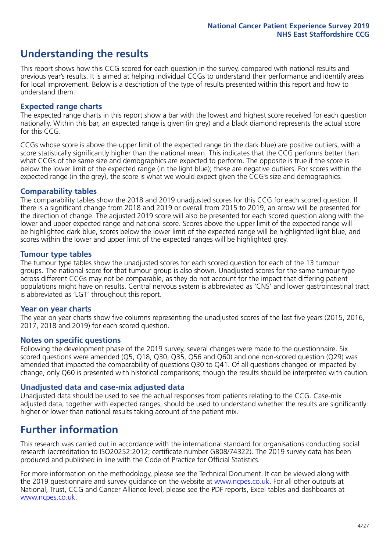## **Understanding the results**

This report shows how this CCG scored for each question in the survey, compared with national results and previous year's results. It is aimed at helping individual CCGs to understand their performance and identify areas for local improvement. Below is a description of the type of results presented within this report and how to understand them.

### **Expected range charts**

The expected range charts in this report show a bar with the lowest and highest score received for each question nationally. Within this bar, an expected range is given (in grey) and a black diamond represents the actual score for this CCG.

CCGs whose score is above the upper limit of the expected range (in the dark blue) are positive outliers, with a score statistically significantly higher than the national mean. This indicates that the CCG performs better than what CCGs of the same size and demographics are expected to perform. The opposite is true if the score is below the lower limit of the expected range (in the light blue); these are negative outliers. For scores within the expected range (in the grey), the score is what we would expect given the CCG's size and demographics.

### **Comparability tables**

The comparability tables show the 2018 and 2019 unadjusted scores for this CCG for each scored question. If there is a significant change from 2018 and 2019 or overall from 2015 to 2019, an arrow will be presented for the direction of change. The adjusted 2019 score will also be presented for each scored question along with the lower and upper expected range and national score. Scores above the upper limit of the expected range will be highlighted dark blue, scores below the lower limit of the expected range will be highlighted light blue, and scores within the lower and upper limit of the expected ranges will be highlighted grey.

### **Tumour type tables**

The tumour type tables show the unadjusted scores for each scored question for each of the 13 tumour groups. The national score for that tumour group is also shown. Unadjusted scores for the same tumour type across different CCGs may not be comparable, as they do not account for the impact that differing patient populations might have on results. Central nervous system is abbreviated as 'CNS' and lower gastrointestinal tract is abbreviated as 'LGT' throughout this report.

### **Year on year charts**

The year on year charts show five columns representing the unadjusted scores of the last five years (2015, 2016, 2017, 2018 and 2019) for each scored question.

### **Notes on specific questions**

Following the development phase of the 2019 survey, several changes were made to the questionnaire. Six scored questions were amended (Q5, Q18, Q30, Q35, Q56 and Q60) and one non-scored question (Q29) was amended that impacted the comparability of questions Q30 to Q41. Of all questions changed or impacted by change, only Q60 is presented with historical comparisons; though the results should be interpreted with caution.

### **Unadjusted data and case-mix adjusted data**

Unadjusted data should be used to see the actual responses from patients relating to the CCG. Case-mix adjusted data, together with expected ranges, should be used to understand whether the results are significantly higher or lower than national results taking account of the patient mix.

### **Further information**

This research was carried out in accordance with the international standard for organisations conducting social research (accreditation to ISO20252:2012; certificate number GB08/74322). The 2019 survey data has been produced and published in line with the Code of Practice for Official Statistics.

For more information on the methodology, please see the Technical Document. It can be viewed along with the 2019 questionnaire and survey quidance on the website at [www.ncpes.co.uk](https://www.ncpes.co.uk/supporting-documents). For all other outputs at National, Trust, CCG and Cancer Alliance level, please see the PDF reports, Excel tables and dashboards at [www.ncpes.co.uk.](https://www.ncpes.co.uk/current-results)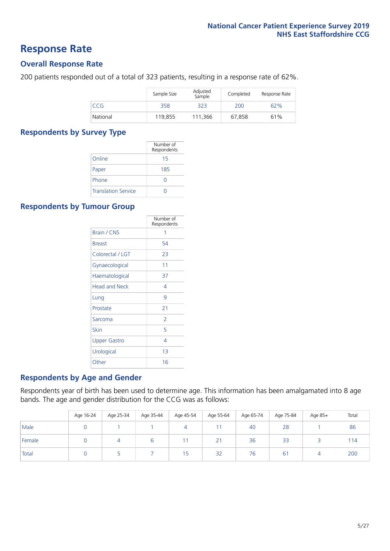### **Response Rate**

### **Overall Response Rate**

200 patients responded out of a total of 323 patients, resulting in a response rate of 62%.

|          | Sample Size | Adjusted<br>Sample | Completed | Response Rate |
|----------|-------------|--------------------|-----------|---------------|
| CCG      | 358         | 323                | 200       | 62%           |
| National | 119,855     | 111.366            | 67,858    | 61%           |

### **Respondents by Survey Type**

|                            | Number of<br>Respondents |
|----------------------------|--------------------------|
| Online                     | 15                       |
| Paper                      | 185                      |
| Phone                      | $\left( \right)$         |
| <b>Translation Service</b> |                          |

### **Respondents by Tumour Group**

|                      | Number of<br>Respondents |
|----------------------|--------------------------|
| <b>Brain / CNS</b>   | 1                        |
| <b>Breast</b>        | 54                       |
| Colorectal / LGT     | 23                       |
| Gynaecological       | 11                       |
| Haematological       | 37                       |
| <b>Head and Neck</b> | 4                        |
| Lung                 | 9                        |
| Prostate             | 21                       |
| Sarcoma              | $\mathcal{P}$            |
| Skin                 | 5                        |
| <b>Upper Gastro</b>  | 4                        |
| Urological           | 13                       |
| Other                | 16                       |

### **Respondents by Age and Gender**

Respondents year of birth has been used to determine age. This information has been amalgamated into 8 age bands. The age and gender distribution for the CCG was as follows:

|        | Age 16-24 | Age 25-34 | Age 35-44 | Age 45-54 | Age 55-64 | Age 65-74 | Age 75-84   | Age 85+ | Total |
|--------|-----------|-----------|-----------|-----------|-----------|-----------|-------------|---------|-------|
| Male   |           |           |           | 4         |           | 40        | 28          |         | 86    |
| Female |           |           | O         |           | 21        | 36        | 33          |         | 114   |
| Total  |           |           |           | 15        | 32        | 76        | $6^{\circ}$ | 4       | 200   |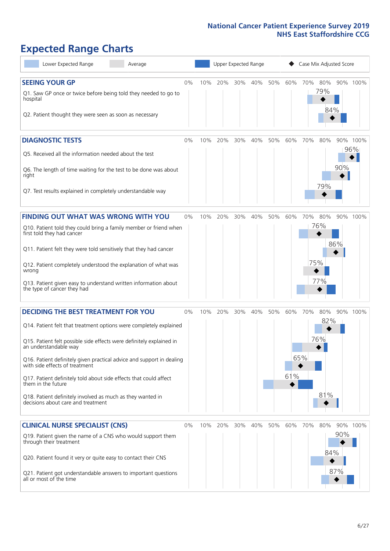# **Expected Range Charts**

| Lower Expected Range<br>Average                                                                         | Upper Expected Range<br>Case Mix Adjusted Score |     |     |     |         |     |     |     |            |     |                 |
|---------------------------------------------------------------------------------------------------------|-------------------------------------------------|-----|-----|-----|---------|-----|-----|-----|------------|-----|-----------------|
| <b>SEEING YOUR GP</b>                                                                                   | 0%                                              | 10% | 20% |     | 30% 40% | 50% | 60% | 70% | 80%        |     | 90% 100%        |
| Q1. Saw GP once or twice before being told they needed to go to<br>hospital                             |                                                 |     |     |     |         |     |     |     | 79%<br>84% |     |                 |
| Q2. Patient thought they were seen as soon as necessary                                                 |                                                 |     |     |     |         |     |     |     |            |     |                 |
| <b>DIAGNOSTIC TESTS</b>                                                                                 | 0%                                              | 10% | 20% | 30% | 40%     | 50% | 60% | 70% | 80%        |     | 90% 100%<br>96% |
| Q5. Received all the information needed about the test                                                  |                                                 |     |     |     |         |     |     |     |            |     |                 |
| Q6. The length of time waiting for the test to be done was about<br>right                               |                                                 |     |     |     |         |     |     |     | 79%        | 90% |                 |
| Q7. Test results explained in completely understandable way                                             |                                                 |     |     |     |         |     |     |     |            |     |                 |
| <b>FINDING OUT WHAT WAS WRONG WITH YOU</b>                                                              | $0\%$                                           | 10% | 20% | 30% | 40%     | 50% | 60% | 70% | 80%        |     | 90% 100%        |
| Q10. Patient told they could bring a family member or friend when<br>first told they had cancer         |                                                 |     |     |     |         |     |     |     | 76%        |     |                 |
| Q11. Patient felt they were told sensitively that they had cancer                                       |                                                 |     |     |     |         |     |     |     |            | 86% |                 |
| Q12. Patient completely understood the explanation of what was<br>wrong                                 |                                                 |     |     |     |         |     |     | 75% |            |     |                 |
| Q13. Patient given easy to understand written information about<br>the type of cancer they had          |                                                 |     |     |     |         |     |     |     | 77%        |     |                 |
| <b>DECIDING THE BEST TREATMENT FOR YOU</b>                                                              | 0%                                              | 10% | 20% | 30% | 40%     | 50% | 60% | 70% | 80%        |     | 90% 100%        |
| Q14. Patient felt that treatment options were completely explained                                      |                                                 |     |     |     |         |     |     |     | 82%        |     |                 |
| Q15. Patient felt possible side effects were definitely explained in<br>an understandable way           |                                                 |     |     |     |         |     |     |     | 76%        |     |                 |
| Q16. Patient definitely given practical advice and support in dealing<br>with side effects of treatment |                                                 |     |     |     |         |     |     | 65% |            |     |                 |
| Q17. Patient definitely told about side effects that could affect<br>them in the future                 |                                                 |     |     |     |         |     | 61% |     |            |     |                 |
| Q18. Patient definitely involved as much as they wanted in<br>decisions about care and treatment        |                                                 |     |     |     |         |     |     |     | 81%        |     |                 |
| <b>CLINICAL NURSE SPECIALIST (CNS)</b>                                                                  | 0%                                              | 10% | 20% | 30% | 40%     | 50% | 60% | 70% | 80%        |     | 90% 100%        |
| Q19. Patient given the name of a CNS who would support them<br>through their treatment                  |                                                 |     |     |     |         |     |     |     | 84%        | 90% |                 |
| Q20. Patient found it very or quite easy to contact their CNS                                           |                                                 |     |     |     |         |     |     |     |            |     |                 |
| Q21. Patient got understandable answers to important questions<br>all or most of the time               |                                                 |     |     |     |         |     |     |     |            | 87% |                 |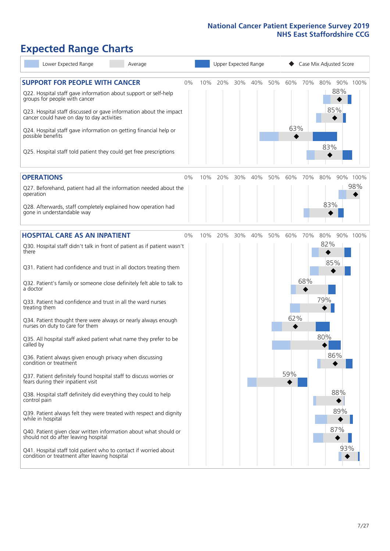# **Expected Range Charts**

| Lower Expected Range<br>Average                                                                                                                                                                                                                                                                                                                                                                                                        |     |     | Upper Expected Range |     |     |            |     | Case Mix Adjusted Score  |                 |
|----------------------------------------------------------------------------------------------------------------------------------------------------------------------------------------------------------------------------------------------------------------------------------------------------------------------------------------------------------------------------------------------------------------------------------------|-----|-----|----------------------|-----|-----|------------|-----|--------------------------|-----------------|
| <b>SUPPORT FOR PEOPLE WITH CANCER</b><br>$0\%$<br>Q22. Hospital staff gave information about support or self-help<br>groups for people with cancer<br>Q23. Hospital staff discussed or gave information about the impact<br>cancer could have on day to day activities<br>Q24. Hospital staff gave information on getting financial help or<br>possible benefits<br>Q25. Hospital staff told patient they could get free prescriptions | 10% | 20% | 30%                  | 40% | 50% | 60%<br>63% | 70% | 80%<br>88%<br>85%<br>83% | 90% 100%        |
| <b>OPERATIONS</b><br>0%<br>Q27. Beforehand, patient had all the information needed about the                                                                                                                                                                                                                                                                                                                                           | 10% | 20% | 30%                  | 40% | 50% | 60%        | 70% | 80%                      | 90% 100%<br>98% |
| operation<br>Q28. Afterwards, staff completely explained how operation had<br>gone in understandable way                                                                                                                                                                                                                                                                                                                               |     |     |                      |     |     |            |     | 83%                      |                 |
| <b>HOSPITAL CARE AS AN INPATIENT</b><br>0%                                                                                                                                                                                                                                                                                                                                                                                             | 10% | 20% | 30%                  | 40% | 50% | 60%        | 70% | 80%                      | 90% 100%        |
| Q30. Hospital staff didn't talk in front of patient as if patient wasn't<br>there<br>Q31. Patient had confidence and trust in all doctors treating them                                                                                                                                                                                                                                                                                |     |     |                      |     |     |            |     | 82%<br>85%               |                 |
| Q32. Patient's family or someone close definitely felt able to talk to<br>a doctor                                                                                                                                                                                                                                                                                                                                                     |     |     |                      |     |     |            | 68% |                          |                 |
| Q33. Patient had confidence and trust in all the ward nurses<br>treating them                                                                                                                                                                                                                                                                                                                                                          |     |     |                      |     |     |            |     | 79%                      |                 |
| Q34. Patient thought there were always or nearly always enough<br>nurses on duty to care for them                                                                                                                                                                                                                                                                                                                                      |     |     |                      |     |     | 62%        |     |                          |                 |
| Q35. All hospital staff asked patient what name they prefer to be<br>called by                                                                                                                                                                                                                                                                                                                                                         |     |     |                      |     |     |            |     | 80%                      |                 |
| Q36. Patient always given enough privacy when discussing<br>condition or treatment                                                                                                                                                                                                                                                                                                                                                     |     |     |                      |     |     |            |     | 86%                      |                 |
| Q37. Patient definitely found hospital staff to discuss worries or<br>fears during their inpatient visit                                                                                                                                                                                                                                                                                                                               |     |     |                      |     |     | 59%        |     |                          |                 |
| Q38. Hospital staff definitely did everything they could to help<br>control pain                                                                                                                                                                                                                                                                                                                                                       |     |     |                      |     |     |            |     | 88%                      |                 |
| Q39. Patient always felt they were treated with respect and dignity<br>while in hospital                                                                                                                                                                                                                                                                                                                                               |     |     |                      |     |     |            |     | 89%                      |                 |
| Q40. Patient given clear written information about what should or<br>should not do after leaving hospital                                                                                                                                                                                                                                                                                                                              |     |     |                      |     |     |            |     | 87%                      |                 |
| Q41. Hospital staff told patient who to contact if worried about<br>condition or treatment after leaving hospital                                                                                                                                                                                                                                                                                                                      |     |     |                      |     |     |            |     |                          | 93%             |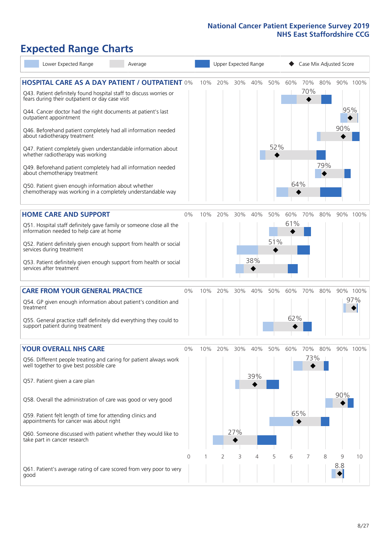# **Expected Range Charts**

| Lower Expected Range<br>Average                                                                                                                                                                                                                                                                                                                                                                                                                                                 |          |     |     | Upper Expected Range |            |            |                               |            |     | Case Mix Adjusted Score |                 |
|---------------------------------------------------------------------------------------------------------------------------------------------------------------------------------------------------------------------------------------------------------------------------------------------------------------------------------------------------------------------------------------------------------------------------------------------------------------------------------|----------|-----|-----|----------------------|------------|------------|-------------------------------|------------|-----|-------------------------|-----------------|
| <b>HOSPITAL CARE AS A DAY PATIENT / OUTPATIENT 0%</b><br>Q43. Patient definitely found hospital staff to discuss worries or<br>fears during their outpatient or day case visit<br>Q44. Cancer doctor had the right documents at patient's last<br>outpatient appointment<br>Q46. Beforehand patient completely had all information needed<br>about radiotherapy treatment<br>Q47. Patient completely given understandable information about<br>whether radiotherapy was working |          | 10% | 20% | 30%                  | 40%        | 50%<br>52% | 60%                           | 70%<br>70% | 80% | 95%<br>90%              | 90% 100%        |
| Q49. Beforehand patient completely had all information needed<br>about chemotherapy treatment<br>Q50. Patient given enough information about whether<br>chemotherapy was working in a completely understandable way                                                                                                                                                                                                                                                             |          |     |     |                      |            |            | 64%                           |            | 79% |                         |                 |
| <b>HOME CARE AND SUPPORT</b><br>Q51. Hospital staff definitely gave family or someone close all the<br>information needed to help care at home<br>Q52. Patient definitely given enough support from health or social<br>services during treatment<br>Q53. Patient definitely given enough support from health or social<br>services after treatment                                                                                                                             | 0%       | 10% | 20% | 30%                  | 40%<br>38% | 50%<br>51% | 60%<br>61%                    | 70%        | 80% |                         | 90% 100%        |
| <b>CARE FROM YOUR GENERAL PRACTICE</b><br>Q54. GP given enough information about patient's condition and<br>treatment<br>Q55. General practice staff definitely did everything they could to<br>support patient during treatment                                                                                                                                                                                                                                                | 0%       | 10% | 20% | 30%                  | 40%        | 50%        | 60%<br>62%                    | 70%        | 80% |                         | 90% 100%<br>97% |
| <b>YOUR OVERALL NHS CARE</b><br>Q56. Different people treating and caring for patient always work<br>well together to give best possible care<br>Q57. Patient given a care plan<br>Q58. Overall the administration of care was good or very good<br>Q59. Patient felt length of time for attending clinics and<br>appointments for cancer was about right<br>Q60. Someone discussed with patient whether they would like to<br>take part in cancer research                     | $0\%$    | 10% | 20% | 30%<br>27%           | 40%<br>39% | 50%        | 60%<br>65%<br>$\blacklozenge$ | 70%<br>73% | 80% | 90%                     | 90% 100%        |
| Q61. Patient's average rating of care scored from very poor to very<br>good                                                                                                                                                                                                                                                                                                                                                                                                     | $\Omega$ |     | 2   | 3                    | 4          | 5          | 6                             | 7          | 8   | 9<br>8.8                | 10              |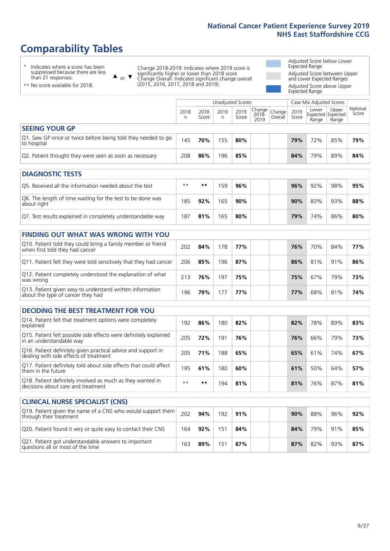# **Comparability Tables**

\* Indicates where a score has been suppressed because there are less than 21 responses.

\*\* No score available for 2018.

 $\triangle$  or  $\nabla$ 

Change 2018-2019: Indicates where 2019 score is significantly higher or lower than 2018 score Change Overall: Indicates significant change overall (2015, 2016, 2017, 2018 and 2019).

Adjusted Score below Lower Expected Range Adjusted Score between Upper and Lower Expected Ranges Adjusted Score above Upper Expected Range

|                                                                             |           |               |            | Unadjusted Scores | Case Mix Adjusted Scores                |               |                |                                     |                   |
|-----------------------------------------------------------------------------|-----------|---------------|------------|-------------------|-----------------------------------------|---------------|----------------|-------------------------------------|-------------------|
|                                                                             | 2018<br>n | 2018<br>Score | 2019<br>n. | 2019<br>Score     | Change<br>2018-<br>2010 Overall<br>2019 | 2019<br>Score | Lower<br>Range | Upper<br>Expected Expected<br>Range | National<br>Score |
| <b>SEEING YOUR GP</b>                                                       |           |               |            |                   |                                         |               |                |                                     |                   |
| Q1. Saw GP once or twice before being told they needed to go<br>to hospital | 145       | 70%           | 155        | 80%               |                                         | 79%           | 72%            | 85%                                 | 79%               |
| Q2. Patient thought they were seen as soon as necessary                     | 208       | 86%           | 196        | 85%               |                                         | 84%           | 79%            | 89%                                 | 84%               |
| DIAGNOSTIC TESTS                                                            |           |               |            |                   |                                         |               |                |                                     |                   |

| <b>PIASIVOJIIL ILJIJ</b>                                                  |      |     |     |     |  |     |     |     |     |
|---------------------------------------------------------------------------|------|-----|-----|-----|--|-----|-----|-----|-----|
| Q5. Received all the information needed about the test                    | $**$ | **  | 159 | 96% |  | 96% | 92% | 98% | 95% |
| Q6. The length of time waiting for the test to be done was<br>about right | 185  | 92% | '65 | 90% |  | 90% | 83% | 93% | 88% |
| Q7. Test results explained in completely understandable way               | 187  | 81% | 165 | 80% |  | 79% | 74% | 86% | 80% |

| <b>FINDING OUT WHAT WAS WRONG WITH YOU</b>                                                      |     |     |     |     |     |     |     |     |
|-------------------------------------------------------------------------------------------------|-----|-----|-----|-----|-----|-----|-----|-----|
| Q10. Patient told they could bring a family member or friend<br>when first told they had cancer | 202 | 84% | 178 | 77% | 76% | 70% | 84% | 77% |
| Q11. Patient felt they were told sensitively that they had cancer                               | 206 | 85% | 196 | 87% | 86% | 81% | 91% | 86% |
| Q12. Patient completely understood the explanation of what<br>was wrong                         | 213 | 76% | 197 | 75% | 75% | 67% | 79% | 73% |
| Q13. Patient given easy to understand written information<br>about the type of cancer they had  | 196 | 79% | 177 | 77% | 77% | 68% | 81% | 74% |

| <b>DECIDING THE BEST TREATMENT FOR YOU</b>                                                              |      |     |     |     |  |     |     |     |     |
|---------------------------------------------------------------------------------------------------------|------|-----|-----|-----|--|-----|-----|-----|-----|
| Q14. Patient felt that treatment options were completely<br>explained                                   | 192  | 86% | 180 | 82% |  | 82% | 78% | 89% | 83% |
| Q15. Patient felt possible side effects were definitely explained<br>in an understandable way           | 205  | 72% | 191 | 76% |  | 76% | 66% | 79% | 73% |
| Q16. Patient definitely given practical advice and support in<br>dealing with side effects of treatment | 205  | 71% | 188 | 65% |  | 65% | 61% | 74% | 67% |
| Q17. Patient definitely told about side effects that could affect<br>them in the future                 | 195  | 61% | 180 | 60% |  | 61% | 50% | 64% | 57% |
| Q18. Patient definitely involved as much as they wanted in<br>decisions about care and treatment        | $**$ | **  | 194 | 81% |  | 81% | 76% | 87% | 81% |

| <b>CLINICAL NURSE SPECIALIST (CNS)</b>                                                    |     |     |     |     |  |     |     |     |     |
|-------------------------------------------------------------------------------------------|-----|-----|-----|-----|--|-----|-----|-----|-----|
| Q19. Patient given the name of a CNS who would support them<br>through their treatment    | 202 | 94% | 192 | 91% |  | 90% | 88% | 96% | 92% |
| Q20. Patient found it very or quite easy to contact their CNS                             | 164 | 92% | 151 | 84% |  | 84% | 79% | 91% | 85% |
| Q21. Patient got understandable answers to important<br>questions all or most of the time | 163 | 89% | 151 | 87% |  | 87% | 82% | 93% | 87% |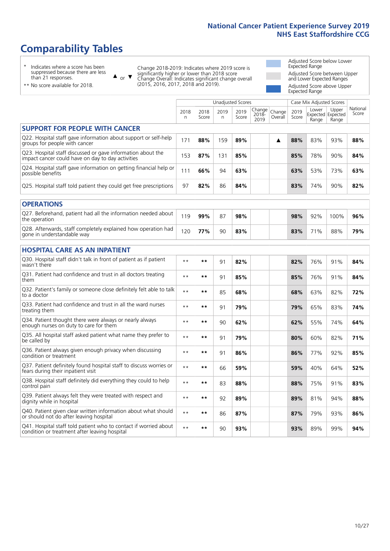# **Comparability Tables**

\* Indicates where a score has been suppressed because there are less than 21 responses.

\*\* No score available for 2018.

 $\triangle$  or  $\nabla$ 

Change 2018-2019: Indicates where 2019 score is significantly higher or lower than 2018 score Change Overall: Indicates significant change overall (2015, 2016, 2017, 2018 and 2019).

Adjusted Score below Lower Expected Range Adjusted Score between Upper and Lower Expected Ranges Adjusted Score above Upper Expected Range

|                                                                                                                   |              |               |            | <b>Unadjusted Scores</b> |                         |                   |               | Case Mix Adjusted Scores            |                |                   |
|-------------------------------------------------------------------------------------------------------------------|--------------|---------------|------------|--------------------------|-------------------------|-------------------|---------------|-------------------------------------|----------------|-------------------|
|                                                                                                                   | 2018<br>n    | 2018<br>Score | 2019<br>n. | 2019<br>Score            | Change<br>2018-<br>2019 | Change<br>Overall | 2019<br>Score | Lower<br>Expected Expected<br>Range | Upper<br>Range | National<br>Score |
| <b>SUPPORT FOR PEOPLE WITH CANCER</b>                                                                             |              |               |            |                          |                         |                   |               |                                     |                |                   |
| Q22. Hospital staff gave information about support or self-help<br>groups for people with cancer                  | 171          | 88%           | 159        | 89%                      |                         | ▲                 | 88%           | 83%                                 | 93%            | 88%               |
| Q23. Hospital staff discussed or gave information about the<br>impact cancer could have on day to day activities  | 153          | 87%           | 131        | 85%                      |                         |                   | 85%           | 78%                                 | 90%            | 84%               |
| Q24. Hospital staff gave information on getting financial help or<br>possible benefits                            | 111          | 66%           | 94         | 63%                      |                         |                   | 63%           | 53%                                 | 73%            | 63%               |
| Q25. Hospital staff told patient they could get free prescriptions                                                | 97           | 82%           | 86         | 84%                      |                         |                   | 83%           | 74%                                 | 90%            | 82%               |
| <b>OPERATIONS</b>                                                                                                 |              |               |            |                          |                         |                   |               |                                     |                |                   |
| Q27. Beforehand, patient had all the information needed about<br>the operation                                    | 119          | 99%           | 87         | 98%                      |                         |                   | 98%           | 92%                                 | 100%           | 96%               |
| Q28. Afterwards, staff completely explained how operation had<br>gone in understandable way                       | 120          | 77%           | 90         | 83%                      |                         |                   | 83%           | 71%                                 | 88%            | 79%               |
| <b>HOSPITAL CARE AS AN INPATIENT</b>                                                                              |              |               |            |                          |                         |                   |               |                                     |                |                   |
| Q30. Hospital staff didn't talk in front of patient as if patient<br>wasn't there                                 | $\star\star$ | **            | 91         | 82%                      |                         |                   | 82%           | 76%                                 | 91%            | 84%               |
| Q31. Patient had confidence and trust in all doctors treating<br>them                                             | $\star\star$ | **            | 91         | 85%                      |                         |                   | 85%           | 76%                                 | 91%            | 84%               |
| Q32. Patient's family or someone close definitely felt able to talk<br>to a doctor                                | $* *$        | **            | 85         | 68%                      |                         |                   | 68%           | 63%                                 | 82%            | 72%               |
| O33. Patient had confidence and trust in all the ward nurses<br>treating them                                     | $* *$        | **            | 91         | 79%                      |                         |                   | 79%           | 65%                                 | 83%            | 74%               |
| Q34. Patient thought there were always or nearly always<br>enough nurses on duty to care for them                 | $\star\star$ | **            | 90         | 62%                      |                         |                   | 62%           | 55%                                 | 74%            | 64%               |
| Q35. All hospital staff asked patient what name they prefer to<br>be called by                                    | $\star\star$ | **            | 91         | 79%                      |                         |                   | 80%           | 60%                                 | 82%            | 71%               |
| Q36. Patient always given enough privacy when discussing<br>condition or treatment                                | $* *$        | **            | 91         | 86%                      |                         |                   | 86%           | 77%                                 | 92%            | 85%               |
| Q37. Patient definitely found hospital staff to discuss worries or<br>fears during their inpatient visit          | $* *$        | **            | 66         | 59%                      |                         |                   | 59%           | 40%                                 | 64%            | 52%               |
| Q38. Hospital staff definitely did everything they could to help<br>control pain                                  | $\star\star$ | **            | 83         | 88%                      |                         |                   | 88%           | 75%                                 | 91%            | 83%               |
| Q39. Patient always felt they were treated with respect and<br>dignity while in hospital                          | $\star\star$ | **            | 92         | 89%                      |                         |                   | 89%           | 81%                                 | 94%            | 88%               |
| Q40. Patient given clear written information about what should<br>or should not do after leaving hospital         | $**$         | **            | 86         | 87%                      |                         |                   | 87%           | 79%                                 | 93%            | 86%               |
| Q41. Hospital staff told patient who to contact if worried about<br>condition or treatment after leaving hospital | $**$         | **            | 90         | 93%                      |                         |                   | 93%           | 89%                                 | 99%            | 94%               |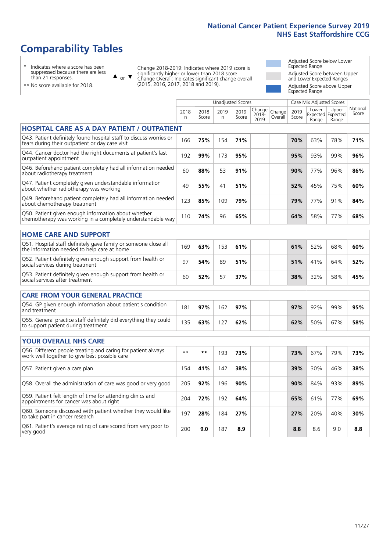# **Comparability Tables**

\* Indicates where a score has been suppressed because there are less than 21 responses.

\*\* No score available for 2018.

 $\triangle$  or  $\nabla$ 

Change 2018-2019: Indicates where 2019 score is significantly higher or lower than 2018 score Change Overall: Indicates significant change overall (2015, 2016, 2017, 2018 and 2019).

Adjusted Score below Lower Expected Range Adjusted Score between Upper and Lower Expected Ranges Adjusted Score above Upper Expected Range

|                                                                                                                       |              |               |           | <b>Unadjusted Scores</b> |                            |                   |               | Case Mix Adjusted Scores |                                     |                   |
|-----------------------------------------------------------------------------------------------------------------------|--------------|---------------|-----------|--------------------------|----------------------------|-------------------|---------------|--------------------------|-------------------------------------|-------------------|
|                                                                                                                       | 2018<br>n    | 2018<br>Score | 2019<br>n | 2019<br>Score            | Change<br>$2018 -$<br>2019 | Change<br>Overall | 2019<br>Score | Lower<br>Range           | Upper<br>Expected Expected<br>Range | National<br>Score |
| <b>HOSPITAL CARE AS A DAY PATIENT / OUTPATIENT</b>                                                                    |              |               |           |                          |                            |                   |               |                          |                                     |                   |
| Q43. Patient definitely found hospital staff to discuss worries or<br>fears during their outpatient or day case visit | 166          | 75%           | 154       | 71%                      |                            |                   | 70%           | 63%                      | 78%                                 | 71%               |
| Q44. Cancer doctor had the right documents at patient's last<br>outpatient appointment                                | 192          | 99%           | 173       | 95%                      |                            |                   | 95%           | 93%                      | 99%                                 | 96%               |
| Q46. Beforehand patient completely had all information needed<br>about radiotherapy treatment                         | 60           | 88%           | 53        | 91%                      |                            |                   | 90%           | 77%                      | 96%                                 | 86%               |
| Q47. Patient completely given understandable information<br>about whether radiotherapy was working                    | 49           | 55%           | 41        | 51%                      |                            |                   | 52%           | 45%                      | 75%                                 | 60%               |
| Q49. Beforehand patient completely had all information needed<br>about chemotherapy treatment                         | 123          | 85%           | 109       | 79%                      |                            |                   | 79%           | 77%                      | 91%                                 | 84%               |
| Q50. Patient given enough information about whether<br>chemotherapy was working in a completely understandable way    | 110          | 74%           | 96        | 65%                      |                            |                   | 64%           | 58%                      | 77%                                 | 68%               |
| <b>HOME CARE AND SUPPORT</b>                                                                                          |              |               |           |                          |                            |                   |               |                          |                                     |                   |
| Q51. Hospital staff definitely gave family or someone close all<br>the information needed to help care at home        | 169          | 63%           | 153       | 61%                      |                            |                   | 61%           | 52%                      | 68%                                 | 60%               |
| Q52. Patient definitely given enough support from health or<br>social services during treatment                       | 97           | 54%           | 89        | 51%                      |                            |                   | 51%           | 41%                      | 64%                                 | 52%               |
| Q53. Patient definitely given enough support from health or<br>social services after treatment                        | 60           | 52%           | 57        | 37%                      |                            |                   | 38%           | 32%                      | 58%                                 | 45%               |
| <b>CARE FROM YOUR GENERAL PRACTICE</b>                                                                                |              |               |           |                          |                            |                   |               |                          |                                     |                   |
| Q54. GP given enough information about patient's condition<br>and treatment                                           | 181          | 97%           | 162       | 97%                      |                            |                   | 97%           | 92%                      | 99%                                 | 95%               |
| Q55. General practice staff definitely did everything they could<br>to support patient during treatment               | 135          | 63%           | 127       | 62%                      |                            |                   | 62%           | 50%                      | 67%                                 | 58%               |
|                                                                                                                       |              |               |           |                          |                            |                   |               |                          |                                     |                   |
| <b>YOUR OVERALL NHS CARE</b>                                                                                          |              |               |           |                          |                            |                   |               |                          |                                     |                   |
| Q56. Different people treating and caring for patient always<br>work well together to give best possible care         | $\star\star$ | $***$         | 193       | 73%                      |                            |                   | 73%           | 67%                      | 79%                                 | 73%               |
| Q57. Patient given a care plan                                                                                        | 154          | 41%           | 142       | 38%                      |                            |                   | 39%           | 30%                      | 46%                                 | 38%               |
| Q58. Overall the administration of care was good or very good                                                         | 205          | 92%           | 196       | 90%                      |                            |                   | 90%           | 84%                      | 93%                                 | 89%               |
| Q59. Patient felt length of time for attending clinics and<br>appointments for cancer was about right                 | 204          | 72%           | 192       | 64%                      |                            |                   | 65%           | 61%                      | 77%                                 | 69%               |
| Q60. Someone discussed with patient whether they would like<br>to take part in cancer research                        | 197          | 28%           | 184       | 27%                      |                            |                   | 27%           | 20%                      | 40%                                 | 30%               |
| Q61. Patient's average rating of care scored from very poor to<br>very good                                           | 200          | 9.0           | 187       | 8.9                      |                            |                   | 8.8           | 8.6                      | 9.0                                 | 8.8               |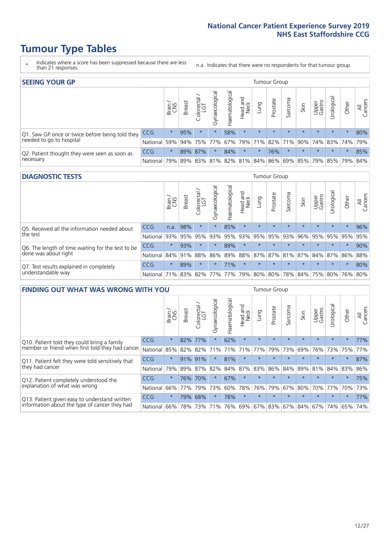# **Tumour Type Tables**

- \* Indicates where a score has been suppressed because there are less than 21 responses.
- n.a. Indicates that there were no respondents for that tumour group.

| <b>SEEING YOUR GP</b>                           |            |         |               |                   |                    |                |                  |                 | Tumour Group |         |         |                 |                                                 |         |                |
|-------------------------------------------------|------------|---------|---------------|-------------------|--------------------|----------------|------------------|-----------------|--------------|---------|---------|-----------------|-------------------------------------------------|---------|----------------|
|                                                 |            | Brain   | <b>Breast</b> | Colorectal<br>LGT | ᠊ᢛ<br>Gynaecologic | Haematological | Head and<br>Neck | Lung            | Prostate     | Sarcoma | Skin    | Upper<br>Gastro | –<br>Irologica                                  | Other   | All<br>Cancers |
| Q1. Saw GP once or twice before being told they | <b>CCG</b> | $\star$ | 95%           | $\star$           |                    | 58%            | $\star$          | $\star$         | $\star$      | $\star$ | $\star$ | $\star$         | $\star$                                         | $\star$ | 80%            |
| needed to go to hospital                        | National   | 59%     |               | 94% 75%           | 77%                |                |                  | 67% 79% 71% 82% |              |         |         |                 | 71% 90% 74% 83% 74%                             |         | 79%            |
| Q2. Patient thought they were seen as soon as   | <b>CCG</b> | $\star$ |               | 89% 87%           |                    | 84%            | $\star$          | $\star$         | 76%          | $\star$ | $\star$ | $\star$         | $\star$                                         | $\star$ | 85%            |
| necessary                                       | National   | 79%     |               |                   |                    |                |                  |                 |              |         |         |                 | 89% 83% 81% 82% 81% 84% 86% 69% 85% 79% 85% 79% |         | 84%            |

#### **DIAGNOSTIC TESTS** Tumour Group

|                                                   |                                          | Brain   | <b>Breast</b> | olorectal.<br>LGT<br>$\cup$ | $\overline{\sigma}$<br>Gynaecologic | Haematologica | Head and<br>Neck | Lung        | Prostate | Sarcoma | Skin    | Upper<br>Gastro | Irological                                  | Other   | All<br>Cancers |
|---------------------------------------------------|------------------------------------------|---------|---------------|-----------------------------|-------------------------------------|---------------|------------------|-------------|----------|---------|---------|-----------------|---------------------------------------------|---------|----------------|
| Q5. Received all the information needed about     | <b>CCG</b>                               | n.a.    | 98%           |                             | $\star$                             | 85%           | $\star$          | $\star$     | $\star$  | $\star$ | $\star$ | $\star$         | $\star$                                     | $\star$ | 96%            |
| the test                                          | National                                 | 93%     |               | 95% 95%                     |                                     | 93% 95%       |                  | 93% 95% 95% |          | 93%     | 96%     |                 | 95% 95% 95%                                 |         | 95%            |
| Q6. The length of time waiting for the test to be | <b>CCG</b>                               | $\star$ | 93%           | $\star$                     | $\star$                             | 89%           | $\star$          | $\star$     | $\star$  | $\star$ | $\star$ | $\star$         | $\star$                                     | $\star$ | 90%            |
| done was about right                              | National                                 |         | 84% 91%       | 88%                         |                                     |               |                  |             |          |         |         |                 | 86% 89% 88% 87% 87% 81% 87% 84% 87% 86% 88% |         |                |
| Q7. Test results explained in completely          | <b>CCG</b>                               | $\star$ | 89%           |                             | $\star$                             | 71%           | $\star$          | $\star$     | $\star$  | $\star$ | $\star$ | $\star$         | $\star$                                     | $\star$ | 80%            |
| understandable way                                | National 71% 83% 82% 77% 77% 79% 80% 80% |         |               |                             |                                     |               |                  |             |          |         |         |                 | 78% 84% 75% 80% 76% 80%                     |         |                |

| <b>FINDING OUT WHAT WAS WRONG WITH YOU</b>        |            |         |               |                        |                |                |                        |             | Tumour Group |         |                         |                 |            |          |                |
|---------------------------------------------------|------------|---------|---------------|------------------------|----------------|----------------|------------------------|-------------|--------------|---------|-------------------------|-----------------|------------|----------|----------------|
|                                                   |            | Brain   | <b>Breast</b> | olorectal.<br>LGT<br>Ū | Gynaecological | Haematological | ad and<br>Neck<br>Head | Lung        | Prostate     | Sarcoma | Skin                    | Upper<br>Gastro | Urological | Other    | All<br>Cancers |
| Q10. Patient told they could bring a family       | CCG        | $\star$ | 82%           | 77%                    |                | 62%            | $\star$                | $\star$     | $\star$      | $\star$ | 大                       | $\star$         | $\star$    | $^\star$ | 77%            |
| member or friend when first told they had cancer  | National   | 85%     | 82%           | 82%                    | 71%            | 71%            | 71%                    | 77%         | 79%          | 73%     | 69%                     | 76%             | 73%        | 75%      | 77%            |
| Q11. Patient felt they were told sensitively that | CCG        | $\star$ | 91%           | 91%                    |                | 81%            | $\star$                | $\star$     | $\star$      | $\star$ | $\star$                 | $\star$         | $\star$    | $\star$  | 87%            |
| they had cancer                                   | National   | 79%     | 89% 87%       |                        | 82%            |                |                        | 84% 87% 83% | 86%          | 84%     | 89%                     | 81%             | 84% 83%    |          | 86%            |
| Q12. Patient completely understood the            | <b>CCG</b> | $\star$ | 76%           | 70%                    |                | 67%            | $\ast$                 | $\star$     | $\star$      | $\star$ |                         |                 | $\star$    | $\star$  | 75%            |
| explanation of what was wrong                     | National   | 66%     | 77%           | 79%                    | 73%            | 60%            | 78%                    | 76%         | 79%          | 67%     | 80%                     | 70%             | 77%        | 70%      | 73%            |
| Q13. Patient given easy to understand written     | <b>CCG</b> | $\star$ | 79%           | 68%                    |                | 78%            | $\star$                | $\star$     | $\star$      | $\star$ | $\star$                 | $\star$         | $\star$    | $\star$  | 77%            |
| information about the type of cancer they had     | National   | 66%     | 78%           | 73%                    | 71%            |                |                        |             |              |         | 76% 69% 67% 83% 67% 84% | 67%             | 74%        | 65%      | 74%            |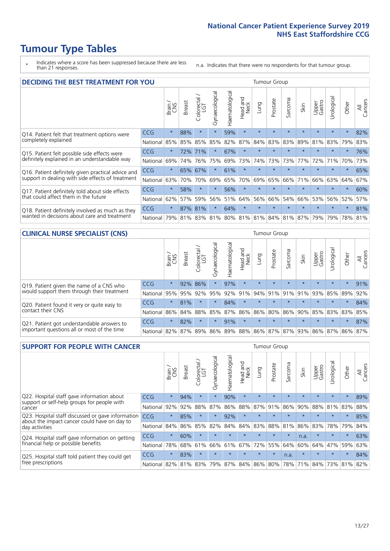# **Tumour Type Tables**

\* Indicates where a score has been suppressed because there are less than 21 responses.

n.a. Indicates that there were no respondents for that tumour group.

| <b>DECIDING THE BEST TREATMENT FOR YOU</b>         |            |         |               |                             |                |                |                         |         | <b>Tumour Group</b> |                                     |         |                 |            |         |                |
|----------------------------------------------------|------------|---------|---------------|-----------------------------|----------------|----------------|-------------------------|---------|---------------------|-------------------------------------|---------|-----------------|------------|---------|----------------|
|                                                    |            | Brain   | <b>Breast</b> | olorectal.<br>LGT<br>$\cup$ | Gynaecological | Haematological | ead and<br>Neck<br>Head | Lung    | Prostate            | Sarcoma                             | Skin    | Upper<br>Gastro | Jrological | Other   | All<br>Cancers |
| Q14. Patient felt that treatment options were      | CCG        | $\star$ | 88%           | $\star$                     | $\star$        | 59%            | $\star$                 | $\star$ | $\star$             | $\star$                             | $\star$ | $\star$         | $\star$    | $\star$ | 82%            |
| completely explained                               | National   | 85%     | 85%           | 85%                         | 85%            | 82%            | 87%                     | 84%     | 83%                 | 83%                                 | 89%     | 81%             | 83%        | 79%     | 83%            |
| Q15. Patient felt possible side effects were       | CCG        | $\star$ | 72%           | 71%                         | $\star$        | 67%            | $\star$                 | $\star$ | $\star$             |                                     |         | $\star$         | $\star$    | $\star$ | 76%            |
| definitely explained in an understandable way      | National   | 69%     | 74%           | 76%                         | 75%            | 69%            | 73%                     | 74%     | 73%                 | 73%                                 | 77%     | 72%             | 71%        | 70%     | 73%            |
| Q16. Patient definitely given practical advice and | <b>CCG</b> | $\star$ | 65%           | 67%                         | $\star$        | 61%            | $\star$                 | $\star$ | $\star$             | $\star$                             | $\star$ | $\star$         | $\star$    | $\star$ | 65%            |
| support in dealing with side effects of treatment  | National   | 63%     | 70%           | 70%                         | 69%            | 65%            | 70%                     | 69%     | 65%                 | 66%                                 | 71%     | 66%             | 63%        | 64%     | 67%            |
| Q17. Patient definitely told about side effects    | CCG        | $\star$ | 58%           |                             | $\star$        | 56%            | $\star$                 | $\star$ | $\star$             | $\star$                             |         | $\star$         | $\star$    | $\star$ | 60%            |
| that could affect them in the future               | National   | 62%     | 57%           | 59%                         | 56%            | 51%            | 64%                     | 56%     | 66%                 | 54%                                 | 66%     | 53%             | 56%        | 52%     | 57%            |
| Q18. Patient definitely involved as much as they   | CCG        | $\star$ | 87%           | 81%                         | $\star$        | 64%            | $\star$                 | $\star$ | $\star$             | 大                                   |         | $\star$         | $\star$    | $\star$ | 81%            |
| wanted in decisions about care and treatment       | National   | 79%     |               |                             |                |                |                         |         |                     | 81% 83% 81% 80% 81% 81% 84% 81% 87% |         | 79%             | 79%        | 78% 81% |                |

#### **CLINICAL NURSE SPECIALIST (CNS)** Tumour Group

|                                             |            | Brain   | <b>Breast</b> | Colorectal<br>LGT | $\sigma$<br>Gynaecologic | aematological | Head and<br>Neck | Lung    | Prostate | Sarcoma | Skin                        | Upper<br>Gastro | rological                               | Other    | All<br>Cancers |
|---------------------------------------------|------------|---------|---------------|-------------------|--------------------------|---------------|------------------|---------|----------|---------|-----------------------------|-----------------|-----------------------------------------|----------|----------------|
| Q19. Patient given the name of a CNS who    | <b>CCG</b> | $\star$ |               | 92% 86%           |                          | 97%           | $\star$          | $\star$ | $\star$  | $\star$ | $\star$                     | $\star$         | $\star$                                 | $\star$  | 91%            |
| would support them through their treatment  | National   | 95%     | 95%           | 92%               | 95%                      | 92%           | 91%              |         | 94% 91%  | 91%     | 91%                         | 93%             |                                         | 85% 89%  | 92%            |
| Q20. Patient found it very or quite easy to | CCG        | $\star$ | 81%           |                   | $\star$                  | 84%           | $\star$          | $\star$ | $\star$  | $\star$ | $\star$                     | $\star$         | $\star$                                 | $^\star$ | 84%            |
| contact their CNS                           | National   | 86%     | 84%           | 88%               | 85%                      |               |                  |         |          |         |                             |                 | 87% 86% 86% 80% 86% 90% 85% 83% 83% 85% |          |                |
| Q21. Patient got understandable answers to  | CCG        | $\star$ | 82%           | $\star$           | $\star$                  | 91%           | $\star$          | $\star$ | $\star$  | $\star$ | $\star$                     | $\star$         | $\star$                                 | $\star$  | 87%            |
| important questions all or most of the time | National   | 82%     | 87%           | 89%               |                          |               |                  |         |          |         | 86% 89% 88% 86% 87% 87% 93% |                 | 86% 87% 86% 87%                         |          |                |

| <b>SUPPORT FOR PEOPLE WITH CANCER</b>                                                             |            |         |               |                        |                |                |                        |             | <b>Tumour Group</b> |         |         |                 |           |         |                |
|---------------------------------------------------------------------------------------------------|------------|---------|---------------|------------------------|----------------|----------------|------------------------|-------------|---------------------|---------|---------|-----------------|-----------|---------|----------------|
|                                                                                                   |            | Brain   | <b>Breast</b> | olorectal.<br>LGT<br>Ũ | Gynaecological | Haematological | ad and<br>Neck<br>Head | Lung        | Prostate            | Sarcoma | Skin    | Upper<br>Gastro | Jrologica | Other   | All<br>Cancers |
| Q22. Hospital staff gave information about<br>support or self-help groups for people with         | <b>CCG</b> | $\star$ | 94%           | $\star$                | $\star$        | 90%            | $\star$                | $\star$     | $\star$             | $\star$ | $\star$ | $\star$         | $\star$   | $\star$ | 89%            |
| cancer                                                                                            | National   | 92%     | 92%           | 88%                    | 87%            | 86%            | 88%                    | 87%         | 91%                 | 86%     | 90%     | 88%             | 81%       | 83%     | 88%            |
| Q23. Hospital staff discussed or gave information<br>about the impact cancer could have on day to | CCG        | $\star$ | 85%           | $\star$                | $\star$        | 92%            | $\star$                | $\star$     | $\star$             | $\star$ | $\star$ | $\star$         | $\star$   | $\star$ | 85%            |
| day activities                                                                                    | National   | 84%     | 86%           | 85%                    | 82%            | 84%            | 84%                    | 83%         | 88%                 | 81%     | 86%     | 83%             | 78%       | 79%     | 84%            |
| Q24. Hospital staff gave information on getting                                                   | CCG        | $\star$ | 60%           | $\star$                | $\star$        | $\star$        | $\star$                | $\star$     | $\star$             | $\star$ | n.a.    | $\star$         | $\star$   | $\star$ | 63%            |
| financial help or possible benefits                                                               | National   | 78%     | 68%           | 61%                    | 66%            | 61%            | 67%                    | 72%         | 55%                 | 64%     | 60%     | 64%             | 47%       | 59%     | 63%            |
| Q25. Hospital staff told patient they could get                                                   | <b>CCG</b> | $\star$ | 83%           | $\star$                | $\star$        | $\star$        | $\star$                | $\star$     | $\star$             | n.a.    | $\star$ | $\star$         | $\star$   | $\ast$  | 84%            |
| free prescriptions                                                                                | National I | 82%     |               | 81% 83%                | 79%            | 87%            |                        | 84% 86% 80% |                     | 78%     | 71%     | 84%             | 73%       | 81%     | 82%            |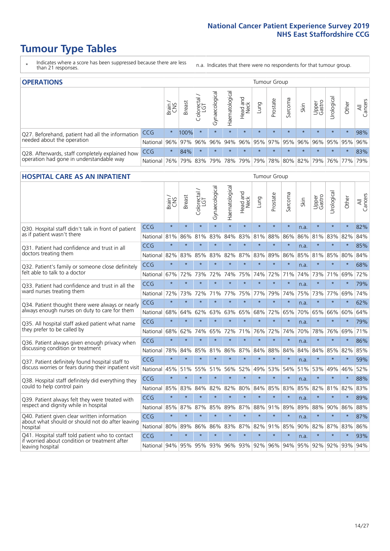# **Tumour Type Tables**

- \* Indicates where a score has been suppressed because there are less than 21 responses.
- n.a. Indicates that there were no respondents for that tumour group.

| <b>OPERATIONS</b>                                |                      |              |        |                   |                |                             |                  |         | Tumour Group |         |         |                 |                                             |         |                |
|--------------------------------------------------|----------------------|--------------|--------|-------------------|----------------|-----------------------------|------------------|---------|--------------|---------|---------|-----------------|---------------------------------------------|---------|----------------|
|                                                  |                      | Brain<br>CNS | Breast | Colorectal<br>LGT | Gynaecological | Haematological              | Head and<br>Neck | Lung    | Prostate     | Sarcoma | Skin    | Upper<br>Gastro | Urological                                  | Other   | All<br>Cancers |
| Q27. Beforehand, patient had all the information | <b>CCG</b>           | $\star$      | 100%   | $\star$           | $\star$        | $\star$                     | $\star$          | $\star$ | $\star$      | $\star$ | $\star$ | $\star$         | $\star$                                     | $\star$ | 98%            |
| needed about the operation                       | National 96% 97% 96% |              |        |                   |                | 96% 94% 96% 95% 97% 95% 96% |                  |         |              |         |         |                 | 96% 95% 95%                                 |         | 96%            |
| Q28. Afterwards, staff completely explained how  | <b>CCG</b>           | $\star$      | 84%    | $\star$           | $\star$        | $\star$                     | $\star$          | $\star$ | $\star$      | $\star$ | $\star$ | $\star$         | $\star$                                     | $\star$ | 83%            |
| operation had gone in understandable way         | National I           | 76%          |        | 79% 83%           |                |                             |                  |         |              |         |         |                 | 79% 78% 79% 79% 78% 80% 82% 79% 76% 77% 79% |         |                |

### **HOSPITAL CARE AS AN INPATIENT** Tumour Group

|                                                                                                  |          | Brain   | Breast  | Colorectal /<br>LGT | Gynaecological | Haematological  | Head and<br>Neck | Lung        | Prostate | Sarcoma | Skin | Upper<br>Gastro | Urological | Other   | All<br>Cancers |
|--------------------------------------------------------------------------------------------------|----------|---------|---------|---------------------|----------------|-----------------|------------------|-------------|----------|---------|------|-----------------|------------|---------|----------------|
| Q30. Hospital staff didn't talk in front of patient                                              | CCG      | $\star$ | $\star$ | $\star$             | $\star$        | $\star$         | $\star$          | $\star$     | $\star$  | $\star$ | n.a. | $\star$         | $\star$    | $\star$ | 82%            |
| as if patient wasn't there                                                                       | National | 81%     | 86%     | 81%                 | 83%            | 84%             | 83%              | 81%         | 88%      | 86%     | 86%  | 81%             | 83%        | 82%     | 84%            |
| Q31. Patient had confidence and trust in all                                                     | CCG      | $\star$ | $\star$ | $\star$             | $\star$        | $\star$         | $\star$          | $\star$     | $\star$  | $\star$ | n.a. | $\star$         | $\star$    | $\star$ | 85%            |
| doctors treating them                                                                            | National | 82%     | 83%     | 85%                 | 83%            | 82%             |                  | 87% 83%     | 89%      | 86%     | 85%  | 81%             | 85%        | 80%     | 84%            |
| Q32. Patient's family or someone close definitely                                                | CCG      | $\star$ | $\star$ | $\star$             | $\star$        | $\star$         | $\star$          | $\star$     | $\star$  | $\star$ | n.a. |                 | $\star$    | $\star$ | 68%            |
| felt able to talk to a doctor                                                                    | National | 67%     | 72%     | 73%                 | 72%            | 74%             | 75%              | 74%         | 72%      | 71%     | 74%  |                 | 73% 71%    | 69%     | 72%            |
| Q33. Patient had confidence and trust in all the                                                 | CCG      | $\star$ | $\star$ | $\star$             | $\star$        | $\star$         | $\star$          | $\star$     | $\star$  | $\star$ | n.a. | $\star$         | $\star$    | $\star$ | 79%            |
| ward nurses treating them                                                                        | National | 72%     | 73%     | 72%                 | 71%            | 77%             | 75%              | 77%         | 79%      | 74%     | 75%  | 73%             | 77%        | 69%     | 74%            |
| Q34. Patient thought there were always or nearly                                                 | CCG      | $\star$ | $\star$ | $\star$             | $\star$        | $\star$         | $\star$          | $\star$     | $\star$  | $\star$ | n.a. | $\star$         | $\star$    | $\star$ | 62%            |
| always enough nurses on duty to care for them                                                    | National | 68%     | 64%     | 62%                 | 63%            | 63%             | 65%              | 68%         | 72%      | 65%     | 70%  | 65%             | 66%        | 60%     | 64%            |
| Q35. All hospital staff asked patient what name                                                  | CCG      | $\star$ | $\star$ | $\star$             | $\star$        | $\star$         | $\star$          | $\star$     | $\star$  | $\star$ | n.a. |                 | $\star$    | $\star$ | 79%            |
| they prefer to be called by                                                                      | National | 68%     | 62%     | 74%                 | 65%            | 72%             | 71%              | 76%         | 72%      | 74%     | 70%  | 78%             | 76%        | 69%     | 71%            |
| Q36. Patient always given enough privacy when                                                    | CCG      | $\star$ | $\star$ | $\star$             | $\star$        | $\star$         | $\star$          | $\star$     | $\star$  | $\star$ | n.a. | $\star$         | $\star$    | $\star$ | 86%            |
| discussing condition or treatment                                                                | National | 78%     | 84%     | 85%                 | 81%            |                 | 86% 87%          | 84%         | 88%      | 84%     | 84%  |                 | 84% 85%    | 82%     | 85%            |
| Q37. Patient definitely found hospital staff to                                                  | CCG      | $\star$ | $\star$ | $\star$             | $\star$        | $\star$         | $\star$          | $\star$     | $\star$  | $\star$ | n.a. |                 | $\star$    | $\star$ | 59%            |
| discuss worries or fears during their inpatient visit                                            | National | 45%     | 51%     | 55%                 | 51%            | 56%             | 52%              | 49%         | 53%      | 54%     | 51%  | 53%             | 49%        | 46%     | 52%            |
| Q38. Hospital staff definitely did everything they                                               | CCG      | $\star$ | $\star$ | $\star$             | $\star$        | $\star$         | $\star$          | $\star$     | $\star$  | $\star$ | n.a. | $\star$         | $\star$    | $\star$ | 88%            |
| could to help control pain                                                                       | National | 85%     | 83%     | 84%                 | 82%            | 82%             | 80%              | 84%         | 85%      | 83%     | 85%  | 82%             | 81%        | 82%     | 83%            |
| Q39. Patient always felt they were treated with                                                  | CCG      | $\star$ | $\star$ | $\star$             | $\star$        | $\star$         | $\star$          | $\star$     | $\star$  | $\star$ | n.a. |                 |            |         | 89%            |
| respect and dignity while in hospital                                                            | National | 85%     | 87%     | 87%                 | 85%            | 89%             | 87%              | 88%         | 91%      | 89%     | 89%  | 88%             | 90%        | 86%     | 88%            |
| Q40. Patient given clear written information<br>about what should or should not do after leaving | CCG      | $\star$ | $\star$ | $\star$             | $\star$        | $\star$         | $\star$          | $\star$     | $\star$  | $\star$ | n.a. |                 | $\star$    | $\star$ | 87%            |
| hospital                                                                                         | National | 80%     | 89%     | 86%                 |                | 86% 83% 87% 82% |                  |             | 91%      | 85%     | 90%  |                 | 82% 87%    | 83%     | 86%            |
| Q41. Hospital staff told patient who to contact<br>if worried about condition or treatment after | CCG      | $\star$ | $\star$ | $\star$             | $\star$        | $\star$         | $\star$          | $\star$     | $\star$  | $\star$ | n.a. | $\star$         | $\star$    | $\star$ | 93%            |
| leaving hospital                                                                                 | National | 94%     | 95%     | 95%                 | 93%            |                 |                  | 96% 93% 92% |          | 96% 94% | 95%  | 92%             | 92%        | 93%     | 94%            |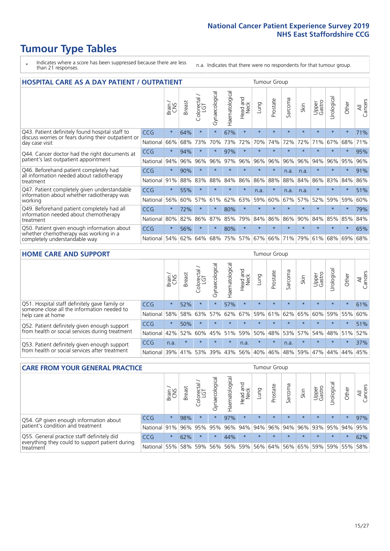# **Tumour Type Tables**

- \* Indicates where a score has been suppressed because there are less than 21 responses.
- n.a. Indicates that there were no respondents for that tumour group.

| <b>HOSPITAL CARE AS A DAY PATIENT / OUTPATIENT</b>                     |            |         |               |                 |                |                |                         |         | <b>Tumour Group</b> |         |         |                 |            |          |                |
|------------------------------------------------------------------------|------------|---------|---------------|-----------------|----------------|----------------|-------------------------|---------|---------------------|---------|---------|-----------------|------------|----------|----------------|
|                                                                        |            | Brain   | <b>Breast</b> | ∽<br>Colorectal | Gynaecological | Haematological | ead and<br>Neck<br>Head | Lung    | Prostate            | Sarcoma | Skin    | Upper<br>Gastro | Urological | Other    | All<br>Cancers |
| Q43. Patient definitely found hospital staff to                        | CCG        | $\star$ | 64%           | $\star$         | $\star$        | 67%            | $\star$                 | $\star$ | $\star$             | $\star$ | $\star$ | $\star$         | $\star$    | $\star$  | 71%            |
| discuss worries or fears during their outpatient or<br>day case visit  | National   | 66%     | 68%           | 73%             | 70%            | 73%            | 72%                     | 70%     | 74%                 | 72%     | 72%     | 71%             | 67%        | 68%      | 71%            |
| Q44. Cancer doctor had the right documents at                          | CCG        | $\star$ | 94%           |                 | $\star$        | 97%            | $\star$                 | $\star$ | $\star$             | $\star$ |         | $\star$         | $\star$    | $\star$  | 95%            |
| patient's last outpatient appointment                                  | National   | 94%     | 96%           | 96%             | 96%            | 97%            | 96%                     | 96%     | 96%                 | 96%     | 96%     | 94%             | 96%        | 95%      | 96%            |
| Q46. Beforehand patient completely had                                 | <b>CCG</b> | $\star$ | 90%           | $\star$         |                |                | $\star$                 | $\star$ | $\star$             | n.a.    | n.a.    | $\star$         | $\star$    | $\star$  | 91%            |
| all information needed about radiotherapy<br>treatment                 | National   | 91%     | 88%           | 83%             | 88%            | 84%            | 86%                     | 86%     | 88%                 | 88%     | 84%     | 86%             | 83%        | 84%      | 86%            |
| Q47. Patient completely given understandable                           | CCG        | $\star$ | 55%           | $\star$         |                |                | $\star$                 | n.a.    | $\star$             | n.a.    | n.a.    | $\star$         |            | $^\star$ | 51%            |
| information about whether radiotherapy was<br>working                  | National   | 56%     | 60%           | 57%             | 61%            | 62%            | 63%                     | 59%     | 60%                 | 67%     | 57%     | 52%             | 59%        | 59%      | 60%            |
| Q49. Beforehand patient completely had all                             | CCG        | $\star$ | 72%           | $\star$         | $\star$        | 80%            | $\star$                 | $\star$ | $\star$             | $\star$ | $\star$ | $\star$         | $\star$    | $\star$  | 79%            |
| information needed about chemotherapy<br>treatment                     | National   | 80%     | 82%           | 86%             | 87%            | 85%            | 79%                     | 84%     | 86%                 | 86%     | 90%     | 84%             | 85%        | 85%      | 84%            |
| Q50. Patient given enough information about                            | <b>CCG</b> | $\star$ | 56%           | $\star$         | $\star$        | 80%            | $\star$                 | ÷       | $\star$             | $\star$ |         |                 |            | $\star$  | 65%            |
| whether chemotherapy was working in a<br>completely understandable way | National   | 54%     | 62%           | 64%             | 68%            | 75%            |                         | 57% 67% | 66%                 | 71%     | 79%     | 61%             | 68%        | 69%      | 68%            |

#### **HOME CARE AND SUPPORT** Tumour Group

|                                                                                                                   |            | Brain   | <b>Breast</b> | iolorectal<br>LGT<br>$\cup$ | ᢛ<br>Gynaecologic | Haematological | ad and<br>Neck<br>Head | <b>Lung</b> | Prostate | Sarcoma | Skin    | Upper<br>Gastro | Urological  | Other   | All<br>Cancers |
|-------------------------------------------------------------------------------------------------------------------|------------|---------|---------------|-----------------------------|-------------------|----------------|------------------------|-------------|----------|---------|---------|-----------------|-------------|---------|----------------|
| Q51. Hospital staff definitely gave family or<br>someone close all the information needed to<br>help care at home | <b>CCG</b> | $\star$ | 52%           | $\star$                     | $\star$           | 57%            | $\star$                | $\star$     | $\star$  | $\star$ | $\star$ | $\star$         | $\star$     | $\star$ | 61%            |
|                                                                                                                   | National   | 58%     | 58%           | 63%                         | 57%               | 62%            | 67%                    | 59%         | 61%      |         | 62% 65% | 60%             | 59% 55%     |         | 60%            |
| Q52. Patient definitely given enough support<br>from health or social services during treatment                   | <b>CCG</b> | $\star$ | 50%           | $\star$                     | $\star$           |                | $\star$                | $\star$     | $\star$  |         | $\star$ | $\star$         | $\star$     | $\star$ | 51%            |
|                                                                                                                   | National   | 42%     | 52%           | 60%                         |                   | 45% 51%        | 59%                    | 50%         | 48%      |         | 53% 57% |                 | 54% 48% 51% |         | 52%            |
| Q53. Patient definitely given enough support<br>from health or social services after treatment                    | <b>CCG</b> | n.a.    | $\star$       | $\star$                     | $\star$           | $\star$        | n.a.                   | $\star$     | $\star$  | n.a.    |         | $\star$         | $\star$     | $\star$ | 37%            |
|                                                                                                                   | National   | 39%     | 41%           | 53%                         | 39%               | 43%            | 56%                    | 40%         | 46%      | 48%     | 59%     | 47%             | 44%         | 44%     | 45%            |

| <b>CARE FROM YOUR GENERAL PRACTICE</b>                                                                     |              |         |               |                   |                |                                     | Tumour Group     |         |                                         |         |         |                 |           |         |                |  |
|------------------------------------------------------------------------------------------------------------|--------------|---------|---------------|-------------------|----------------|-------------------------------------|------------------|---------|-----------------------------------------|---------|---------|-----------------|-----------|---------|----------------|--|
|                                                                                                            |              | Brain   | <b>Breast</b> | Colorectal<br>LGT | Gynaecological | $\overline{\sigma}$<br>Haematologic | Head and<br>Neck | Lung    | Prostate                                | Sarcoma | Skin    | Upper<br>Gastro | Urologica | Other   | All<br>Cancers |  |
| Q54. GP given enough information about<br>patient's condition and treatment                                | <b>CCG</b>   | $\star$ | 98%           | $\star$           | $\star$        | 97%                                 | $\star$          | $\star$ | $\star$                                 | $\star$ | $\star$ | $\star$         | $\star$   | $\star$ | 97%            |  |
|                                                                                                            | National 91% |         |               | 96% 95%           | 95%            |                                     |                  |         | 96% 94% 94% 96% 94% 96% 93% 95% 94% 95% |         |         |                 |           |         |                |  |
| Q55. General practice staff definitely did<br>everything they could to support patient during<br>treatment | <b>CCG</b>   | $\star$ | 62%           | $\star$           | $\star$        | 44%                                 | $\star$          | $\star$ | $\star$                                 | $\star$ | $\star$ | $\star$         | $\star$   | $\star$ | 62%            |  |
|                                                                                                            | National     | 55%     |               | 58% 59%           | 56%            |                                     | 56% 59%          |         | 56% 64% 56% 65% 59% 59% 55%             |         |         |                 |           |         | 58%            |  |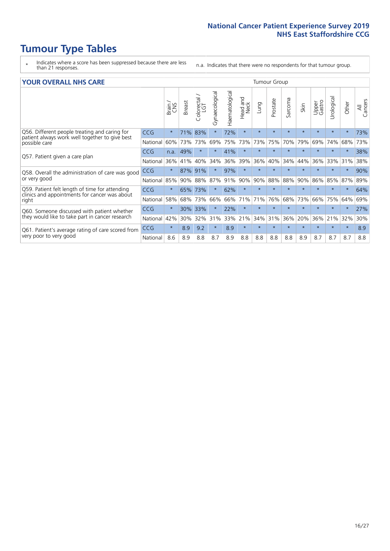# **Tumour Type Tables**

- \* Indicates where a score has been suppressed because there are less than 21 responses.
- n.a. Indicates that there were no respondents for that tumour group.

#### **YOUR OVERALL NHS CARE** THE CONSTRUCTION OF THE THROUP GROUP TUMOUR GROUP

| I YUN YENAEL NI IYOANE |         |               |                                 |                |                |                         |            |          |         |              |                 |               |         |                |
|------------------------|---------|---------------|---------------------------------|----------------|----------------|-------------------------|------------|----------|---------|--------------|-----------------|---------------|---------|----------------|
|                        | Brain   | <b>Breast</b> | ∽<br>olorectal<br>LGT<br>$\cup$ | Gynaecological | Haematological | aad and<br>Neck<br>Head | Lung       | Prostate | Sarcoma | Skin         | Upper<br>Gastro | ී<br>Urologic | Other   | All<br>Cancers |
| <b>CCG</b>             | $\star$ | 71%           | 83%                             |                | 72%            | $\star$                 | $\star$    | $\star$  | $\star$ | $\star$      | $\star$         | $\star$       | $\ast$  | 73%            |
| National               | 60%     | 73%           | 73%                             | 69%            | 75%            | 73%                     | 73%        | 75%      | 70%     | 79%          | 69%             | 74%           | 68%     | 73%            |
| <b>CCG</b>             | n.a.    | 49%           | $\star$                         |                | 41%            | $\star$                 | $\star$    | $\star$  | $\star$ | $\star$      | $\star$         |               | $\star$ | 38%            |
| National               | 36%     | 41%           | 40%                             | 34%            | 36%            | 39%                     | 36%        | 40%      | 34%     | 44%          | 36%             | 33%           | 31%     | 38%            |
| <b>CCG</b>             | $\star$ | 87%           | 91%                             |                | 97%            | $\star$                 | $\star$    | $\star$  | $\star$ | $\star$      |                 |               | $\star$ | 90%            |
| National               | 85%     | 90%           | 88%                             | 87%            | 91%            |                         | 90%        | 88%      | 88%     | 90%          | 86%             | 85%           | 87%     | 89%            |
| <b>CCG</b>             | $\star$ | 65%           | 73%                             |                | 62%            | $\ast$                  | $\star$    | $\star$  | $\star$ | $\star$      |                 |               | $\ast$  | 64%            |
| National               | 58%     | 68%           | 73%                             | 66%            | 66%            | 71%                     | 71%        | 76%      | 68%     | 73%          | 66%             | 75%           | 64%     | 69%            |
| <b>CCG</b>             | $\star$ | 30%           | 33%                             |                | 22%            | $\star$                 | $\star$    | $\star$  | $\star$ | $\star$      |                 |               | $\star$ | 27%            |
| National               | 42%     | 30%           | 32%                             | 31%            |                |                         | 34%        | 31%      | 36%     | 20%          | 36%             | 21%           | 32%     | 30%            |
| <b>CCG</b>             | $\star$ | 8.9           | 9.2                             | $\star$        | 8.9            | $\star$                 | $\star$    | $\star$  | $\star$ | $\star$      | $\star$         | $\star$       | $\ast$  | 8.9            |
| National               | 8.6     | 8.9           | 8.8                             | 8.7            | 8.9            | 8.8                     | 8.8        | 8.8      | 8.8     | 8.9          | 8.7             | 8.7           | 8.7     | 8.8            |
|                        |         |               |                                 |                |                | 33%                     | 90%<br>21% |          |         | iamoar oroap |                 |               |         |                |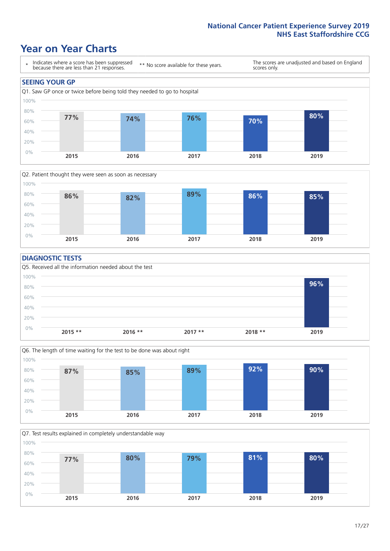### **Year on Year Charts**





#### **DIAGNOSTIC TESTS**





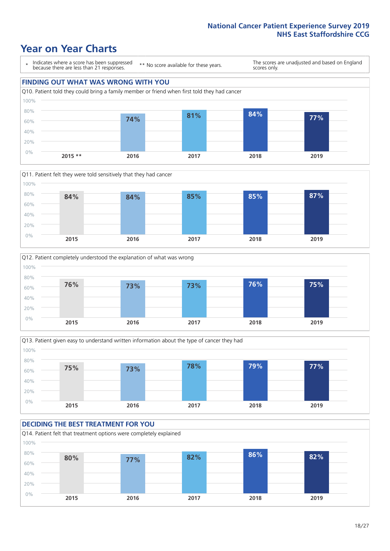### **Year on Year Charts**

\* Indicates where a score has been suppressed because there are less than 21 responses. \*\* No score available for these years. The scores are unadjusted and based on England scores only. **FINDING OUT WHAT WAS WRONG WITH YOU** Q10. Patient told they could bring a family member or friend when first told they had cancer 0% 20% 40% 60% 80% 100% **2015 \*\* 2016 2017 2018 2019 74% 81% 84% 77%**







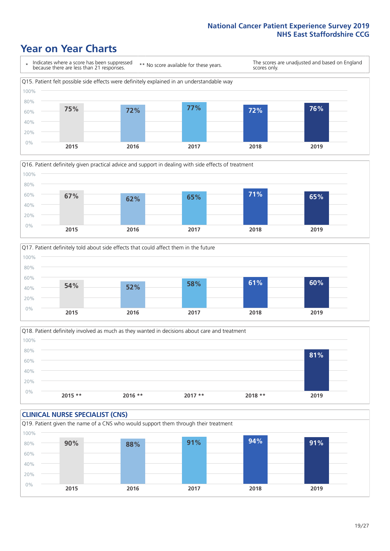### **Year on Year Charts**







Q18. Patient definitely involved as much as they wanted in decisions about care and treatment  $0%$ 20% 40% 60% 80% 100% **2015 \*\* 2016 \*\* 2017 \*\* 2018 \*\* 2019 81%**

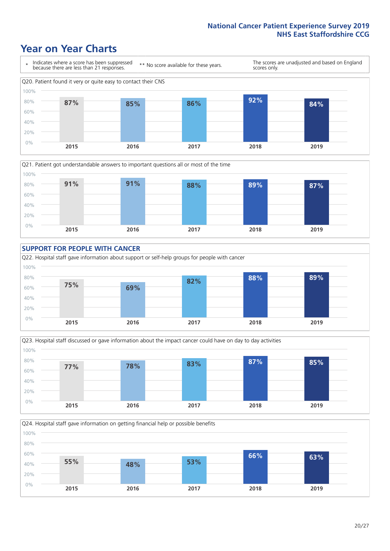### **Year on Year Charts**











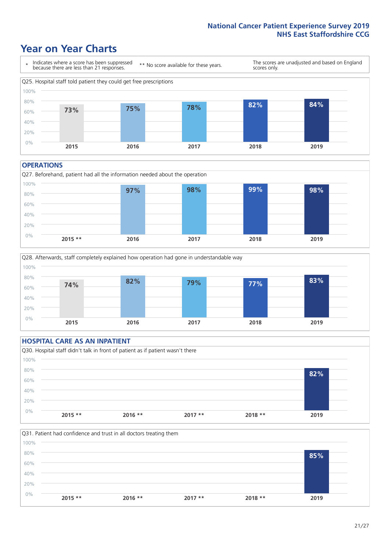### **Year on Year Charts**



#### **OPERATIONS**





### **HOSPITAL CARE AS AN INPATIENT** Q30. Hospital staff didn't talk in front of patient as if patient wasn't there 0% 20% 40% 60% 80% 100% **2015 \*\* 2016 \*\* 2017 \*\* 2018 \*\* 2019 82%**

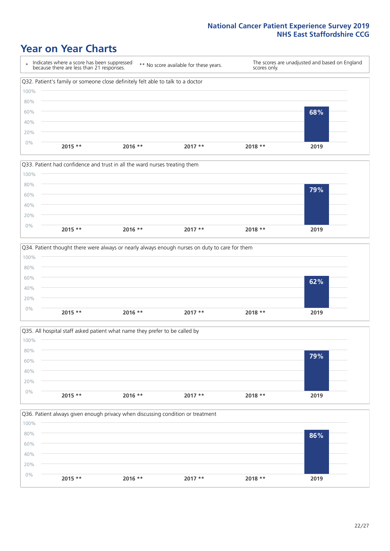### **Year on Year Charts**









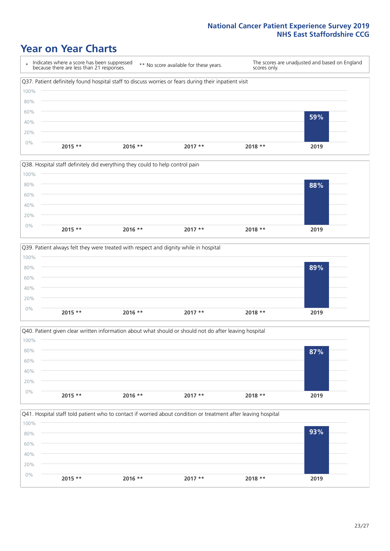### **Year on Year Charts**









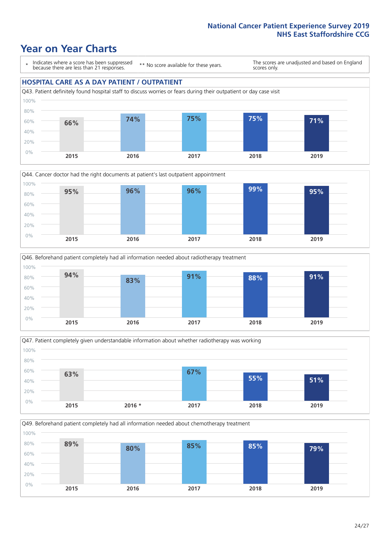### **Year on Year Charts**

\* Indicates where a score has been suppressed because there are less than 21 responses.

\*\* No score available for these years.

The scores are unadjusted and based on England scores only.











Q49. Beforehand patient completely had all information needed about chemotherapy treatment

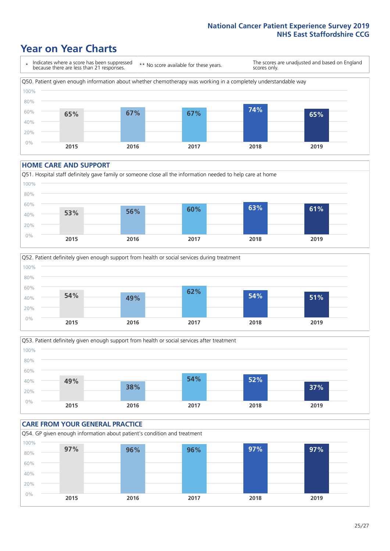### **Year on Year Charts**

\* Indicates where a score has been suppressed because there are less than 21 responses. \*\* No score available for these years. The scores are unadjusted and based on England scores only. Q50. Patient given enough information about whether chemotherapy was working in a completely understandable way 0% 20% 40% 60% 80% 100% **2015 2016 2017 2018 2019 65% 67% 67% 74% 65%**

#### **HOME CARE AND SUPPORT**







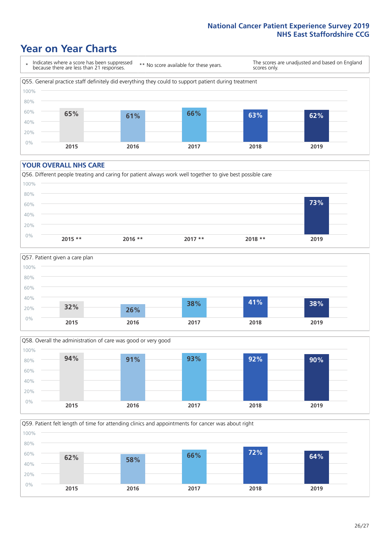### **Year on Year Charts**

\* Indicates where a score has been suppressed because there are less than 21 responses.

\*\* No score available for these years.

The scores are unadjusted and based on England scores only.



#### **YOUR OVERALL NHS CARE**







Q59. Patient felt length of time for attending clinics and appointments for cancer was about right